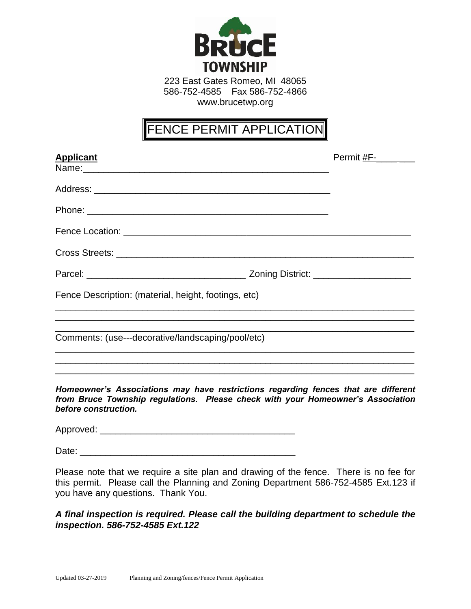

223 East Gates Romeo, MI 48065 586-752-4585 Fax 586-752-4866 www.brucetwp.org

## FENCE PERMIT APPLICATION

| <b>Applicant</b>                                                                                                           | Permit #F-______ |
|----------------------------------------------------------------------------------------------------------------------------|------------------|
|                                                                                                                            |                  |
|                                                                                                                            |                  |
|                                                                                                                            |                  |
| Cross Streets: <b>contract of the Cross Streets</b> : <b>contract of the Cross Streets: contract of the Cross Streets:</b> |                  |
|                                                                                                                            |                  |
| Fence Description: (material, height, footings, etc)                                                                       |                  |
| Comments: (use---decorative/landscaping/pool/etc)                                                                          |                  |
| Homeowner's Associations may have restrictions regarding fences that are different                                         |                  |

*from Bruce Township regulations. Please check with your Homeowner's Association before construction.*

Approved: \_\_\_\_\_\_\_\_\_\_\_\_\_\_\_\_\_\_\_\_\_\_\_\_\_\_\_\_\_\_\_\_\_\_\_\_\_\_

Date:

Please note that we require a site plan and drawing of the fence. There is no fee for this permit. Please call the Planning and Zoning Department 586-752-4585 Ext.123 if you have any questions. Thank You.

## *A final inspection is required. Please call the building department to schedule the inspection. 586-752-4585 Ext.122*